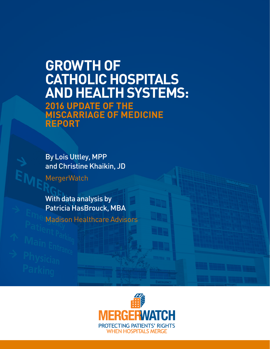# **GROWTH OF CATHOLIC HOSPITALS AND HEALTH SYSTEMS: 2016 UPDATE OF THE MISCARRIAGE OF MEDICINE REPORT**

By Lois Uttley, MPP and Christine Khaikin, JD

MergerWatch

With data analysis by Patricia HasBrouck, MBA Madison Healthcare Advisors

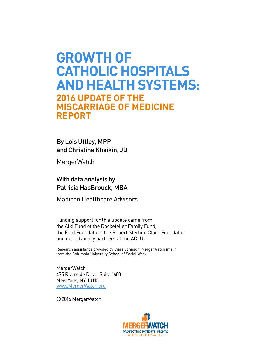# **GROWTH OF CATHOLIC HOSPITALS AND HEALTH SYSTEMS: 2016 UPDATE OF THE MISCARRIAGE OF MEDICINE REPORT**

By Lois Uttley, MPP and Christine Khaikin, JD

**MergerWatch** 

#### With data analysis by Patricia HasBrouck, MBA

Madison Healthcare Advisors

Funding support for this update came from the Alki Fund of the Rockefeller Family Fund, the Ford Foundation, the Robert Sterling Clark Foundation and our advocacy partners at the ACLU.

Research assistance provided by Ciara Johnson, MergerWatch intern from the Columbia University School of Social Work

MergerWatch 475 Riverside Drive, Suite 1600 New York, NY 10115 [www.MergerWatch.org](http://www.MergerWatch.org)

© 2016 MergerWatch

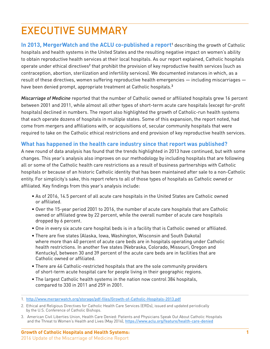# EXECUTIVE SUMMARY

**In 2013, MergerWatch and the ACLU co-published a report<sup>1</sup> describing the growth of Catholic** hospitals and health systems in the United States and the resulting negative impact on women's ability to obtain reproductive health services at their local hospitals. As our report explained, Catholic hospitals operate under ethical directives<sup>2</sup> that prohibit the provision of key reproductive health services (such as contraception, abortion, sterilization and infertility services). We documented instances in which, as a result of these directives, women suffering reproductive health emergencies — including miscarriages have been denied prompt, appropriate treatment at Catholic hospitals.<sup>3</sup>

*Miscarriage of Medicine* reported that the number of Catholic owned or affiliated hospitals grew 16 percent between 2001 and 2011, while almost all other types of short-term acute care hospitals (except for-profit hospitals) declined in numbers. The report also highlighted the growth of Catholic-run health systems that each operate dozens of hospitals in multiple states. Some of this expansion, the report noted, had come from mergers and affiliations with, or acquisitions of, secular community hospitals that were required to take on the Catholic ethical restrictions and end provision of key reproductive health services.

#### **What has happened in the health care industry since that report was published?**

A new round of data analysis has found that the trends highlighted in 2013 have continued, but with some changes. This year's analysis also improves on our methodology by including hospitals that are following all or some of the Catholic health care restrictions as a result of business partnerships with Catholic hospitals or because of an historic Catholic identity that has been maintained after sale to a non-Catholic entity. For simplicity's sake, this report refers to all of those types of hospitals as Catholic owned or affiliated. Key findings from this year's analysis include:

- As of 2016, 14.5 percent of all acute care hospitals in the United States are Catholic owned or affiliated.
- Over the 15-year period 2001 to 2016, the number of acute care hospitals that are Catholic owned or affiliated grew by 22 percent, while the overall number of acute care hospitals dropped by 6 percent.
- One in every six acute care hospital beds is in a facility that is Catholic owned or affiliated.
- There are five states (Alaska, Iowa, Washington, Wisconsin and South Dakota) where more than 40 percent of acute care beds are in hospitals operating under Catholic health restrictions. In another five states (Nebraska, Colorado, Missouri, Oregon and Kentucky), between 30 and 39 percent of the acute care beds are in facilities that are Catholic owned or affiliated.
- There are 46 Catholic-restricted hospitals that are the sole community providers of short-term acute hospital care for people living in their geographic regions.
- The largest Catholic health systems in the nation now control 384 hospitals, compared to 330 in 2011 and 259 in 2001.

- 2. Ethical and Religious Directives for Catholic Health Care Services (ERDs), issued and updated periodically by the U.S. Conference of Catholic Bishops.
- 3. American Civil Liberties Union, Health Care Denied: Patients and Physicians Speak Out About Catholic Hospitals and the Threat to Women's Health and Lives (May 2016), <https://www.aclu.org/feature/health-care-denied>

<sup>1.</sup>  <http://www.mergerwatch.org/storage/pdf-files/Growth-of-Catholic-Hospitals-2013.pdf>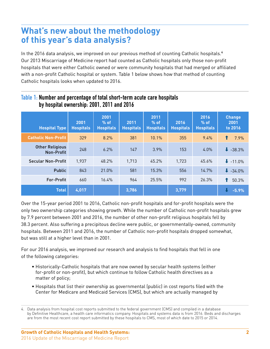## **What's new about the methodology of this year's data analysis?**

In the 2016 data analysis, we improved on our previous method of counting Catholic hospitals.<sup>4</sup> Our 2013 Miscarriage of Medicine report had counted as Catholic hospitals only those non-profit hospitals that were either Catholic owned or were community hospitals that had merged or affiliated with a non-profit Catholic hospital or system. Table 1 below shows how that method of counting Catholic hospitals looks when updated to 2016.

| <b>Hospital Type</b>                        | 2001<br><b>Hospitals</b> | 2001<br>$%$ of<br><b>Hospitals</b> | 2011<br><b>Hospitals</b> | 2011<br>$%$ of<br><b>Hospitals</b> | 2016<br><b>Hospitals</b> | 2016<br>$%$ of<br><b>Hospitals</b> | <b>Change</b><br>2001<br>to 2016 |
|---------------------------------------------|--------------------------|------------------------------------|--------------------------|------------------------------------|--------------------------|------------------------------------|----------------------------------|
| <b>Catholic Non-Profit</b>                  | 329                      | 8.2%                               | 381                      | 10.1%                              | 355                      | 9.4%                               | ↑<br>7.9%                        |
| <b>Other Religious</b><br><b>Non-Profit</b> | 248                      | 6.2%                               | 147                      | 3.9%                               | 153                      | 4.0%                               | $\downarrow$ -38.3%              |
| <b>Secular Non-Profit</b>                   | 1,937                    | 48.2%                              | 1,713                    | 45.2%                              | 1,723                    | 45.6%                              | $\downarrow$ -11.0%              |
| <b>Public</b>                               | 843                      | 21.0%                              | 581                      | 15.3%                              | 556                      | 14.7%                              | $\downarrow$ -34.0%              |
| <b>For-Profit</b>                           | 660                      | 16.4%                              | 964                      | 25.5%                              | 992                      | 26.3%                              | ↑<br>50.3%                       |
| <b>Total</b>                                | 4,017                    |                                    | 3,786                    |                                    | 3,779                    |                                    | $-5.9%$                          |

#### **Table 1: Number and percentage of total short-term acute care hospitals by hospital ownership: 2001, 2011 and 2016**

Over the 15-year period 2001 to 2016, Catholic non-profit hospitals and for-profit hospitals were the only two ownership categories showing growth. While the number of Catholic non-profit hospitals grew by 7.9 percent between 2001 and 2016, the number of other non-profit religious hospitals fell by 38.3 percent. Also suffering a precipitous decline were public, or governmentally-owned, community hospitals. Between 2011 and 2016, the number of Catholic non-profit hospitals dropped somewhat, but was still at a higher level than in 2001.

For our 2016 analysis, we improved our research and analysis to find hospitals that fell in one of the following categories:

- Historically-Catholic hospitals that are now owned by secular health systems (either for-profit or non-profit), but which continue to follow Catholic health directives as a matter of policy;
- Hospitals that list their ownership as governmental (public) in cost reports filed with the Center for Medicare and Medicaid Services (CMS), but which are actually managed by

<sup>4.</sup>  Data analysis from hospital cost reports submitted to the federal government (CMS) and compiled in a database by Definitive Healthcare, a health care informatics company. Hospitals and systems data is from 2016. Beds and discharges are from the most recent cost report submitted by these hospitals to CMS, most of which date to 2015 or 2014.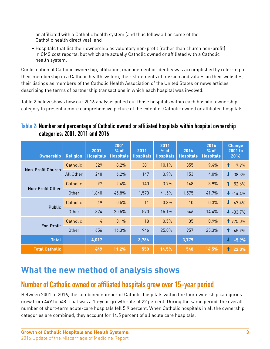or affiliated with a Catholic health system (and thus follow all or some of the Catholic health directives); and

• Hospitals that list their ownership as voluntary non-profit (rather than church non-profit) in CMS cost reports, but which are actually Catholic owned or affiliated with a Catholic health system.

Confirmation of Catholic ownership, affiliation, management or identity was accomplished by referring to their membership in a Catholic health system, their statements of mission and values on their websites, their listings as members of the Catholic Health Association of the United States or news articles describing the terms of partnership transactions in which each hospital was involved.

Table 2 below shows how our 2016 analysis pulled out those hospitals within each hospital ownership category to present a more comprehensive picture of the extent of Catholic owned or affiliated hospitals.

#### **Table 2: Number and percentage of Catholic owned or affiliated hospitals within hospital ownership categories: 2001, 2011 and 2016**

| <b>Ownership</b>         | <b>Religion</b> | 2001<br><b>Hospitals</b> | 2001<br>$%$ of<br><b>Hospitals</b> | 2011<br><b>Hospitals</b> | 2011<br>$%$ of<br><b>Hospitals</b> | 2016<br><b>Hospitals</b> | 2016<br>$%$ of<br><b>Hospitals</b> | <b>Change</b><br>2001 to<br>2016 |
|--------------------------|-----------------|--------------------------|------------------------------------|--------------------------|------------------------------------|--------------------------|------------------------------------|----------------------------------|
|                          | Catholic        | 329                      | 8.2%                               | 381                      | 10.1%                              | 355                      | 9.4%                               | $\pmb{\Upsilon}$<br>7.9%         |
| <b>Non-Profit Church</b> | All Other       | 248                      | 6.2%                               | 147                      | 3.9%                               | 153                      | $4.0\%$                            | $\downarrow$ -38.3%              |
|                          | Catholic        | 97                       | 2.4%                               | 140                      | 3.7%                               | 148                      | 3.9%                               | ↑<br>52.6%                       |
| <b>Non-Profit Other</b>  | Other           | 1,840                    | 45.8%                              | 1,573                    | 41.5%                              | 1,575                    | 41.7%                              | $\downarrow$ -14.4%              |
|                          | Catholic        | 19                       | 0.5%                               | 11                       | 0.3%                               | 10                       | 0.3%                               | $-47.4%$                         |
| <b>Public</b>            | Other           | 824                      | 20.5%                              | 570                      | 15.1%                              | 546                      | 14.4%                              | $\downarrow$ -33.7%              |
| <b>For-Profit</b>        | Catholic        | $\overline{4}$           | 0.1%                               | 18                       | 0.5%                               | 35                       | 0.9%                               | 1 775.0%                         |
|                          | Other           | 656                      | 16.3%                              | 946                      | 25.0%                              | 957                      | 25.3%                              | ↑<br>45.9%                       |
| <b>Total</b>             |                 | 4,017                    |                                    | 3,786                    |                                    | 3,779                    |                                    | $-5.9%$                          |
| <b>Total Catholic</b>    |                 | 449                      | 11.2%                              | 550                      | 14.5%                              | 548                      | 14.5%                              | ↑<br>22.0%                       |

## **What the new method of analysis shows**

## **Number of Catholic owned or affiliated hospitals grew over 15-year period**

Between 2001 to 2016, the combined number of Catholic hospitals within the four ownership categories grew from 449 to 548. That was a 15-year growth rate of 22 percent. During the same period, the overall number of short-term acute-care hospitals fell 5.9 percent. When Catholic hospitals in all the ownership categories are combined, they account for 14.5 percent of all acute care hospitals.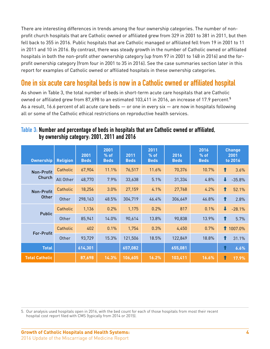There are interesting differences in trends among the four ownership categories. The number of nonprofit church hospitals that are Catholic owned or affiliated grew from 329 in 2001 to 381 in 2011, but then fell back to 355 in 2016. Public hospitals that are Catholic managed or affiliated fell from 19 in 2001 to 11 in 2011 and 10 in 2016. By contrast, there was steady growth in the number of Catholic owned or affiliated hospitals in both the non-profit other ownership category (up from 97 in 2001 to 148 in 2016) and the forprofit ownership category (from four in 2001 to 35 in 2016). See the case summaries section later in this report for examples of Catholic owned or affiliated hospitals in these ownership categories.

## **One in six acute care hospital beds is now in a Catholic owned or affiliated hospital**

As shown in Table 3, the total number of beds in short-term acute care hospitals that are Catholic owned or affiliated grew from 87,698 to an estimated 103,411 in 2016, an increase of 17.9 percent.<sup>5</sup> As a result, 16.6 percent of all acute care beds — or one in every six — are now in hospitals following all or some of the Catholic ethical restrictions on reproductive health services.

#### **Table 3: Number and percentage of beds in hospitals that are Catholic owned or affiliated, by ownership category: 2001, 2011 and 2016**

| <b>Ownership</b>      | <b>Religion</b> | 2001<br><b>Beds</b> | 2001<br>$%$ of<br><b>Beds</b> | 2011<br><b>Beds</b> | 2011<br>$%$ of<br><b>Beds</b> | 2016<br><b>Beds</b> | 2016<br>$%$ of<br><b>Beds</b> | <b>Change</b><br>2001<br>to 2016    |
|-----------------------|-----------------|---------------------|-------------------------------|---------------------|-------------------------------|---------------------|-------------------------------|-------------------------------------|
| <b>Non-Profit</b>     | Catholic        | 67,904              | 11.1%                         | 76,517              | 11.6%                         | 70,376              | 10.7%                         | ↑<br>3.6%                           |
| Church                | All Other       | 48,770              | 7.9%                          | 33,638              | 5.1%                          | 31,334              | 4.8%                          | $-35.8%$                            |
| <b>Non-Profit</b>     | Catholic        | 18,256              | 3.0%                          | 27,159              | 4.1%                          | 27,768              | 4.2%                          | ↑<br>52.1%                          |
| <b>Other</b>          | <b>Other</b>    | 298,163             | 48.5%                         | 304,719             | 46.4%                         | 306,649             | 46.8%                         | ↑<br>2.8%                           |
|                       | Catholic        | 1,136               | 0.2%                          | 1,175               | 0.2%                          | 817                 | 0.1%                          | $\overline{\mathbf{r}}$<br>$-28.1%$ |
| <b>Public</b>         | Other           | 85,941              | 14.0%                         | 90,614              | 13.8%                         | 90,838              | 13.9%                         | ↑<br>5.7%                           |
|                       | Catholic        | 402                 | 0.1%                          | 1,754               | 0.3%                          | 4,450               | 0.7%                          | 1 1007.0%                           |
| <b>For-Profit</b>     | Other           | 93,729              | 15.3%                         | 121,506             | 18.5%                         | 122,849             | 18.8%                         | $\hat{\mathbf{r}}$<br>31.1%         |
| <b>Total</b>          |                 | 614,301             |                               | 657,082             |                               | 655,081             |                               | ↑<br>6.6%                           |
| <b>Total Catholic</b> |                 | 87,698              | 14.3%                         | 106,605             | 16.2%                         | 103,411             | 16.6%                         | ↑<br>17.9%                          |

5. Our analysis used hospitals open in 2016, with the bed count for each of those hospitals from most their recent hospital cost report filed with CMS (typically from 2014 or 2015).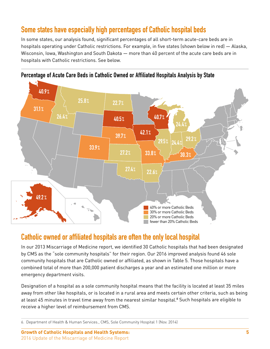## **Some states have especially high percentages of Catholic hospital beds**

In some states, our analysis found, significant percentages of all short-term acute-care beds are in hospitals operating under Catholic restrictions. For example, in five states (shown below in red) — Alaska, Wisconsin, Iowa, Washington and South Dakota — more than 40 percent of the acute care beds are in hospitals with Catholic restrictions. See below.





### **Catholic owned or affiliated hospitals are often the only local hospital**

In our 2013 Miscarriage of Medicine report, we identified 30 Catholic hospitals that had been designated by CMS as the "sole community hospitals" for their region. Our 2016 improved analysis found 46 sole community hospitals that are Catholic owned or affiliated, as shown in Table 5. Those hospitals have a combined total of more than 200,000 patient discharges a year and an estimated one million or more emergency department visits.

Designation of a hospital as a sole community hospital means that the facility is located at least 35 miles away from other like hospitals, or is located in a rural area and meets certain other criteria, such as being at least 45 minutes in travel time away from the nearest similar hospital.<sup>6</sup> Such hospitals are eligible to receive a higher level of reimbursement from CMS.

<sup>6.</sup>  Department of Health & Human Services., CMS, Sole Community Hospital 1 (Nov. 2014)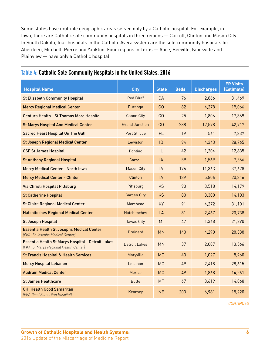Some states have multiple geographic areas served only by a Catholic hospital. For example, in Iowa, there are Catholic sole community hospitals in three regions — Carroll, Clinton and Mason City. In South Dakota, four hospitals in the Catholic Avera system are the sole community hospitals for Aberdeen, Mitchell, Pierre and Yankton. Four regions in Texas — Alice, Beeville, Kingsville and Plainview — have only a Catholic hospital.

| <b>Hospital Name</b>                                                                        | <b>City</b>           | <b>State</b>   | <b>Beds</b> | <b>Discharges</b> | <b>ER Visits</b><br>(Estimate) |
|---------------------------------------------------------------------------------------------|-----------------------|----------------|-------------|-------------------|--------------------------------|
| <b>St Elizabeth Community Hospital</b>                                                      | <b>Red Bluff</b>      | <b>CA</b>      | 76          | 2,866             | 31,469                         |
| <b>Mercy Regional Medical Center</b>                                                        | Durango               | CO             | 82          | 4,278             | 19,066                         |
| <b>Centura Health - St Thomas More Hospital</b>                                             | <b>Canon City</b>     | CO             | 25          | 1,806             | 17,369                         |
| <b>St Marys Hospital And Medical Center</b>                                                 | <b>Grand Junction</b> | CO             | 288         | 12,578            | 42,717                         |
| <b>Sacred Heart Hospital On The Gulf</b>                                                    | Port St. Joe          | <b>FL</b>      | 19          | 561               | 7,337                          |
| <b>St Joseph Regional Medical Center</b>                                                    | Lewiston              | ID             | 94          | 4,343             | 28,765                         |
| <b>OSF St James Hospital</b>                                                                | Pontiac               | IL             | 42          | 1,204             | 12,835                         |
| <b>St Anthony Regional Hospital</b>                                                         | Carroll               | IA             | 59          | 1,569             | 7,566                          |
| Mercy Medical Center - North Iowa                                                           | <b>Mason City</b>     | IA             | 176         | 11,363            | 37,628                         |
| <b>Mercy Medical Center - Clinton</b>                                                       | Clinton               | IA             | 139         | 5,806             | 20,316                         |
| Via Christi Hospital Pittsburg                                                              | Pittsburg             | KS             | 90          | 3,518             | 14,179                         |
| <b>St Catherine Hospital</b>                                                                | <b>Garden City</b>    | <b>KS</b>      | 80          | 3,300             | 14,103                         |
| <b>St Claire Regional Medical Center</b>                                                    | Morehead              | KY             | 91          | 4,272             | 31,101                         |
| <b>Natchitoches Regional Medical Center</b>                                                 | <b>Natchitoches</b>   | LA             | 81          | 2,467             | 20,738                         |
| <b>St Joseph Hospital</b>                                                                   | <b>Tawas City</b>     | MI             | 47          | 1,368             | 21,290                         |
| <b>Essentia Health St Josephs Medical Center</b><br>(FKA: St Josephs Medical Center)        | <b>Brainerd</b>       | <b>MN</b>      | 140         | 4,290             | 28,338                         |
| Essentia Health St Marys Hospital - Detroit Lakes<br>(FKA: St Marys Regional Health Center) | <b>Detroit Lakes</b>  | <b>MN</b>      | 37          | 2,087             | 13,566                         |
| <b>St Francis Hospital &amp; Health Services</b>                                            | Maryville             | M <sub>0</sub> | 43          | 1,027             | 8,960                          |
| <b>Mercy Hospital Lebanon</b>                                                               | Lebanon               | M <sub>0</sub> | 49          | 2,418             | 28,615                         |
| <b>Audrain Medical Center</b>                                                               | Mexico                | M <sub>0</sub> | 49          | 1,868             | 14,261                         |
| <b>St James Healthcare</b>                                                                  | <b>Butte</b>          | <b>MT</b>      | 67          | 3,619             | 14,868                         |
| <b>CHI Health Good Samaritan</b><br>(FKA Good Samaritan Hospital)                           | Kearney               | <b>NE</b>      | 203         | 6,981             | 15,220                         |

#### **Table 4: Catholic Sole Community Hospitals in the United States, 2016**

*CONTINUES*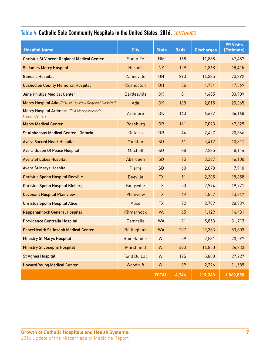### **Table 4: Catholic Sole Community Hospitals in the United States, 2016,** *CONTINUED*

| <b>Hospital Name</b>                                                | <b>City</b>         | <b>State</b> | <b>Beds</b> | <b>Discharges</b> | <b>ER Visits</b><br>(Estimate) |
|---------------------------------------------------------------------|---------------------|--------------|-------------|-------------------|--------------------------------|
| <b>Christus St Vincent Regional Medical Center</b>                  | Santa Fe            | <b>NM</b>    | 168         | 11,888            | 47,487                         |
| <b>St James Mercy Hospital</b>                                      | Hornell             | <b>NY</b>    | 129         | 1,368             | 18,415                         |
| <b>Genesis Hospital</b>                                             | Zanesville          | <b>OH</b>    | 290         | 14,335            | 70,392                         |
| <b>Coshocton County Memorial Hospital</b>                           | Coshocton           | <b>OH</b>    | 56          | 1,734             | 17,369                         |
| <b>Jane Phillips Medical Center</b>                                 | <b>Bartlesville</b> | <b>OK</b>    | 81          | 4,455             | 33,909                         |
| Mercy Hospital Ada (FKA: Valley View Regional Hospital)             | Ada                 | <b>OK</b>    | 108         | 2,815             | 20,365                         |
| Mercy Hospital Ardmore (FKA Mercy Memorial<br><b>Health Center)</b> | Ardmore             | <b>OK</b>    | 140         | 6,627             | 36,168                         |
| <b>Mercy Medical Center</b>                                         | Roseburg            | <b>OR</b>    | 141         | 7,093             | 47,629                         |
| <b>St Alphonsus Medical Center - Ontario</b>                        | Ontario             | <b>OR</b>    | 44          | 2,427             | 20,366                         |
| <b>Avera Sacred Heart Hospital</b>                                  | Yankton             | <b>SD</b>    | 61          | 3,412             | 10,311                         |
| <b>Avera Queen Of Peace Hospital</b>                                | Mitchell            | SD           | 88          | 2,235             | 8,114                          |
| <b>Avera St Lukes Hospital</b>                                      | Aberdeen            | <b>SD</b>    | 75          | 3,397             | 16,100                         |
| <b>Avera St Marys Hospital</b>                                      | Pierre              | SD           | 60          | 2,078             | 7,910                          |
| <b>Christus Spohn Hospital Beeville</b>                             | <b>Beeville</b>     | <b>TX</b>    | 51          | 2,305             | 18,858                         |
| <b>Christus Spohn Hospital Kleberg</b>                              | Kingsville          | <b>TX</b>    | 50          | 2,974             | 19,771                         |
| <b>Covenant Hospital Plainview</b>                                  | Plainview           | <b>TX</b>    | 49          | 1,857             | 13,247                         |
| <b>Christus Spohn Hospital Alice</b>                                | Alice               | <b>TX</b>    | 72          | 2,709             | 28,939                         |
| Rappahannock General Hospital                                       | Kilmarnock          | <b>VA</b>    | 65          | 1,129             | 14,431                         |
| <b>Providence Centralia Hospital</b>                                | Centralia           | <b>WA</b>    | 81          | 5,853             | 31,713                         |
| <b>PeaceHealth St Joseph Medical Center</b>                         | Bellingham          | <b>WA</b>    | 207         | 29,383            | 53,803                         |
| <b>Ministry St Marys Hospital</b>                                   | Rhinelander         | WI           | 59          | 2,531             | 20,597                         |
| <b>Ministry St Josephs Hospital</b>                                 | Marshfield          | WI           | 470         | 14,850            | 24,833                         |
| <b>St Agnes Hospital</b>                                            | Fond Du Lac         | WI           | 125         | 5,800             | 27,227                         |
| <b>Howard Young Medical Center</b>                                  | Woodruff            | WI           | 99          | 2,396             | 11,589                         |
|                                                                     |                     | <b>TOTAL</b> | 4,746       | 219,240           | 1,069,850                      |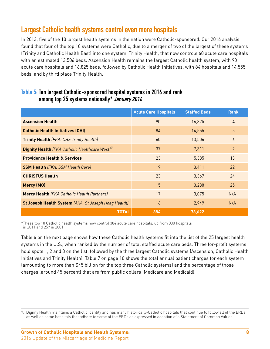## **Largest Catholic health systems control even more hospitals**

In 2013, five of the 10 largest health systems in the nation were Catholic-sponsored. Our 2016 analysis found that four of the top 10 systems were Catholic, due to a merger of two of the largest of these systems (Trinity and Catholic Health East) into one system, Trinity Health, that now controls 60 acute care hospitals with an estimated 13,506 beds. Ascension Health remains the largest Catholic health system, with 90 acute care hospitals and 16,825 beds, followed by Catholic Health Initiatives, with 84 hospitals and 14,555 beds, and by third place Trinity Health.

#### **Table 5: Ten largest Catholic-sponsored hospital systems in 2016 and rank among top 25 systems nationally\*** *January 2016*

|                                                                   | <b>Acute Care Hospitals</b> | <b>Staffed Beds</b> | <b>Rank</b> |
|-------------------------------------------------------------------|-----------------------------|---------------------|-------------|
| <b>Ascension Health</b>                                           | 90                          | 16,825              | 4           |
| <b>Catholic Health Initiatives (CHI)</b>                          | 84                          | 14,555              | 5           |
| Trinity Health (FKA: CHE Trinity Health)                          | 60                          | 13,506              | 6           |
| <b>Dignity Health</b> (FKA Catholic Healthcare West) <sup>7</sup> | 37                          | 7,311               | 9           |
| <b>Providence Health &amp; Services</b>                           | 23                          | 5,385               | 13          |
| <b>SSM Health (FKA: SSM Health Care)</b>                          | 19                          | 3,411               | 22          |
| <b>CHRISTUS Health</b>                                            | 23                          | 3,367               | 24          |
| Mercy (MO)                                                        | 15                          | 3,238               | 25          |
| Mercy Health (FKA Catholic Health Partners)                       | 17                          | 3,075               | N/A         |
| St Joseph Health System (AKA: St Joseph Hoag Health)              | 16                          | 2,949               | N/A         |
| 'TOTAL                                                            | 384                         | 73,622              |             |

\*These top 10 Catholic health systems now control 384 acute care hospitals, up from 330 hospitals in 2011 and 259 in 2001

Table 6 on the next page shows how these Catholic health systems fit into the list of the 25 largest health systems in the U.S., when ranked by the number of total staffed acute care beds. Three for-profit systems hold spots 1, 2 and 3 on the list, followed by the three largest Catholic systems (Ascension, Catholic Health Initiatives and Trinity Health). Table 7 on page 10 shows the total annual patient charges for each system (amounting to more than \$45 billion for the top three Catholic systems) and the percentage of those charges (around 45 percent) that are from public dollars (Medicare and Medicaid).

<sup>7.</sup>  Dignity Health maintains a Catholic identity and has many historically-Catholic hospitals that continue to follow all of the ERDs, as well as some hospitals that adhere to some of the ERDs as expressed in adoption of a Statement of Common Values.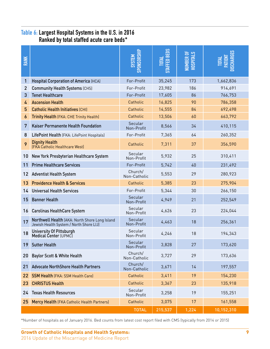#### **Table 6: Largest Hospital Systems in the U.S. in 2016 Ranked by total staffed acute care beds\***

| <b>RANK</b>    |                                                                                           | ONSORSHIP<br><b>NETSIS</b> | TOTAL<br>Staffed Beds | NUMBER OF<br>HOSPITALS | SCHARGES<br><b>TOTAL</b> |
|----------------|-------------------------------------------------------------------------------------------|----------------------------|-----------------------|------------------------|--------------------------|
| 1              | <b>Hospital Corporation of America (HCA)</b>                                              | For-Profit                 | 35,245                | 173                    | 1,662,836                |
| $\overline{2}$ | <b>Community Health Systems (CHS)</b>                                                     | For-Profit                 | 23,982                | 186                    | 914,691                  |
| 3              | <b>Tenet Healthcare</b>                                                                   | For-Profit                 | 17,605                | 86                     | 766,753                  |
| 4              | <b>Ascension Health</b>                                                                   | Catholic                   | 16,825                | 90                     | 786,358                  |
| 5              | <b>Catholic Health Initiatives (CHI)</b>                                                  | Catholic                   | 14,555                | 84                     | 692,498                  |
| 6              | Trinity Health (FKA: CHE Trinity Health)                                                  | Catholic                   | 13,506                | 60                     | 663,792                  |
| 7              | <b>Kaiser Permanente Health Foundation</b>                                                | Secular<br>Non-Profit      | 8,566                 | 34                     | 410,115                  |
| 8              | LifePoint Health (FKA: LifePoint Hospitals)                                               | For-Profit                 | 7,365                 | 64                     | 260,352                  |
| 9              | <b>Dignity Health</b><br>[FKA Catholic Healthcare West]                                   | Catholic                   | 7,311                 | 37                     | 356,590                  |
| 10             | New York Presbyterian Healthcare System                                                   | Secular<br>Non-Profit      | 5,932                 | 25                     | 310,411                  |
| 11             | <b>Prime Healthcare Services</b>                                                          | For-Profit                 | 5,742                 | 40                     | 231,492                  |
| 12             | <b>Adventist Health System</b>                                                            | Church/<br>Non-Catholic    | 5,553                 | 29                     | 280,923                  |
| 13             | <b>Providence Health &amp; Services</b>                                                   | Catholic                   | 5,385                 | 23                     | 275,904                  |
| 14             | <b>Universal Health Services</b>                                                          | For-Profit                 | 5,344                 | 30                     | 266,150                  |
| 15             | <b>Banner Health</b>                                                                      | Secular<br>Non-Profit      | 4,949                 | 21                     | 252,549                  |
| 16             | <b>Carolinas HealthCare System</b>                                                        | Secular<br>Non-Profit      | 4,626                 | 23                     | 224,044                  |
| 17             | Northwell Health (AKA: North Shore Long Island<br>Jewish Health System / North Shore LIJ) | Secular<br>Non-Profit      | 4,463                 | 18                     | 256,361                  |
| 18             | University Of Pittsburgh<br>Medical Center (UPMC)                                         | Secular<br>Non-Profit      | 4,246                 | 18                     | 194,343                  |
| 19             | <b>Sutter Health</b>                                                                      | Secular<br>Non-Profit      | 3,828                 | 27                     | 173,620                  |
| 20             | <b>Baylor Scott &amp; White Health</b>                                                    | Church/<br>Non-Catholic    | 3,727                 | 29                     | 173,636                  |
| 21             | <b>Advocate NorthShore Health Partners</b>                                                | Church/<br>Non-Catholic    | 3,671                 | 14                     | 197,557                  |
| 22             | <b>SSM Health (FKA: SSM Health Care)</b>                                                  | Catholic                   | 3,411                 | 19                     | 154,230                  |
| 23             | <b>CHRISTUS Health</b>                                                                    | Catholic                   | 3,367                 | 23                     | 135,918                  |
| 24             | <b>Texas Health Resources</b>                                                             | Secular<br>Non-Profit      | 3,258                 | 19                     | 155,251                  |
| 25             | Mercy Health (FKA Catholic Health Partners)                                               | Catholic                   | 3,075                 | 17                     | 161,558                  |
|                |                                                                                           | <b>TOTAL</b>               | 215,537               | 1,224                  | 10,152,310               |

\*Number of hospitals as of January 2016. Bed counts from latest cost report filed with CMS (typically from 2014 or 2015)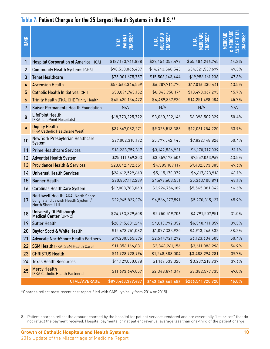#### **Table 7: Patient Charges for the 25 Largest Health Systems in the U.S.\***<sup>8</sup>

| RANK           |                                                                                              | TOTAL<br>VITEN<br><b>I</b> ARGE | TOTAL<br>Medicaid<br>:Harges* | TOTAL<br>Medicare<br>Charges* | MEDICA<br>$\mathbf{S}$<br>ಷ |
|----------------|----------------------------------------------------------------------------------------------|---------------------------------|-------------------------------|-------------------------------|-----------------------------|
| 1              | Hospital Corporation of America (HCA)                                                        | \$187,133,746,838               | \$27,454,353,497              | \$55,484,246,745              | 44.3%                       |
| $\overline{2}$ | <b>Community Health Systems (CHS)</b>                                                        | \$98,530,866,437                | \$14,243,568,545              | \$34,321,559,699              | 49.3%                       |
| 3              | <b>Tenet Healthcare</b>                                                                      | \$75,001,675,757                | \$15,503,143,444              | \$19,956,161,938              | 47.3%                       |
| 4              | <b>Ascension Health</b>                                                                      | \$53,563,346,559                | \$6,287,714,770               | \$17,016,330,441              | 43.5%                       |
| 5              | <b>Catholic Health Initiatives (CHI)</b>                                                     | \$58,094,763,152                | \$8,045,958,174               | \$18,490,367,293              | 45.7%                       |
| 6              | Trinity Health (FKA: CHE Trinity Health)                                                     | \$45,420,136,472                | \$6,489,837,920               | \$14,251,498,084              | 45.7%                       |
| 7              | Kaiser Permanente Health Foundation                                                          | N/A                             | N/A                           | N/A                           | N/A                         |
| 8              | <b>LifePoint Health</b><br>(FKA: LifePoint Hospitals)                                        | \$18,773,225,792                | \$3,060,202,146               | \$6,398,509,329               | 50.4%                       |
| 9              | <b>Dignity Health</b><br>(FKA Catholic Healthcare West)                                      | \$39,667,082,271                | \$9,328,513,388               | \$12,061,754,220              | 53.9%                       |
| 10             | New York Presbyterian Healthcare<br>System                                                   | \$27,002,310,172                | \$5,777,542,445               | \$7,822,148,826               | 50.4%                       |
| 11             | <b>Prime Healthcare Services</b>                                                             | \$18,238,759,317                | \$3,142,536,921               | \$6,170,717,039               | 51.1%                       |
| 12             | <b>Adventist Health System</b>                                                               | \$25,111,669,303                | \$3,359,173,506               | \$7,557,063,969               | 43.5%                       |
| 13             | <b>Providence Health &amp; Services</b>                                                      | \$23,842,492,651                | \$4,385,189,117               | \$7,432,093,385               | 49.6%                       |
| 14             | <b>Universal Health Services</b>                                                             | \$24,412,529,640                | \$5,115,170,379               | \$6,617,693,916               | 48.1%                       |
| 15             | <b>Banner Health</b>                                                                         | \$20,857,112,239                | \$4,678,603,551               | \$5,363,100,871               | 48.1%                       |
| 16             | <b>Carolinas HealthCare System</b>                                                           | \$19,008,783,043                | \$2,926,756,189               | \$5,545,381,842               | 44.6%                       |
| 17             | Northwell Health (AKA: North Shore<br>Long Island Jewish Health System /<br>North Shore LIJ) | \$22,945,827,074                | \$4,566,277,591               | \$5,970,315,127               | 45.9%                       |
| 18             | University Of Pittsburgh<br>Medical Center (UPMC)                                            | \$24,963,329,608                | \$2,950,519,706               | \$4,791,507,951               | 31.0%                       |
| 19             | <b>Sutter Health</b>                                                                         | \$28,915,631,244                | \$4,815,992,352               | \$6,540,411,859               | 39.3%                       |
| 20             | <b>Baylor Scott &amp; White Health</b>                                                       | \$15,673,751,082                | \$1,077,333,920               | \$4,913,246,632               | 38.2%                       |
| 21             | <b>Advocate NorthShore Health Partners</b>                                                   | \$17,200,565,876                | \$2,544,721,272               | \$6,123,634,505               | 50.4%                       |
| 22             | <b>SSM Health (FKA: SSM Health Care)</b>                                                     | \$11,356,166,831                | \$2,848,261,154               | \$3,611,086,296               | 56.9%                       |
| 23             | <b>CHRISTUS Health</b>                                                                       | \$11,928,928,994                | \$1,248,888,004               | \$3,483,294,281               | 39.7%                       |
| 24             | <b>Texas Health Resources</b>                                                                | \$11,127,050,078                | \$1,169,533,320               | \$3,237,218,937               | 39.6%                       |
| 25             | <b>Mercy Health</b><br>(FKA Catholic Health Partners)                                        | \$11,693,649,057                | \$2,348,874,347               | \$3,382,577,735               | 49.0%                       |
|                | <b>TOTAL/AVERAGE</b>                                                                         | \$890,463,399,487               | \$143,368,665,658             | \$266,541,920,920             | 46.0%                       |

\*Charges reflect most recent cost report filed with CMS (typically from 2014 or 2015)

8. Patient charges reflect the amount charged by the hospital for patient services rendered and are essentially "list prices" that do not reflect the payment received. Hospital payments, or net patient revenue, average less than one-third of the patient charge.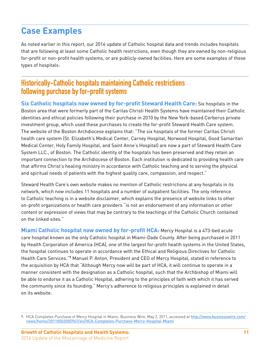## **Case Examples**

As noted earlier in this report, our 2016 update of Catholic hospital data and trends includes hospitals that are following at least some Catholic health restrictions, even though they are owned by non-religious for-profit or non-profit health systems, or are publicly-owned facilities. Here are some examples of these types of hospitals:

### **Historically-Catholic hospitals maintaining Catholic restrictions following purchase by for-profit systems**

**Six Catholic hospitals now owned by for-profit Steward Health Care:** Six hospitals in the Boston area that were formerly part of the Caritas Christi Health Systems have maintained their Catholic identities and ethical policies following their purchase in 2010 by the New York-based Cerberus private investment group, which used these purchases to create the for-profit Steward Health Care system. The website of the Boston Archdiocese explains that: "The six hospitals of the former Caritas Christi health care system (St. Elizabeth's Medical Center, Carney Hospital, Norwood Hospital, Good Samaritan Medical Center, Holy Family Hospital, and Saint Anne's Hospital) are now a part of Steward Health Care System LLC., of Boston. The Catholic identity of the hospitals has been preserved and they retain an important connection to the Archdiocese of Boston. Each institution is dedicated to providing health care that affirms Christ's healing ministry in accordance with Catholic teaching and to serving the physical and spiritual needs of patients with the highest quality care, compassion, and respect."

Steward Health Care's own website makes no mention of Catholic restrictions at any hospitals in its network, which now includes 11 hospitals and a number of outpatient facilities. The only reference to Catholic teaching is in a website disclaimer, which explains the presence of website links to other on-profit organizations or health care providers "is not an endorsement of any information or other content or expression of views that may be contrary to the teachings of the Catholic Church contained on the linked sites."

**Miami Catholic hospital now owned by for-profit HCA:** Mercy Hospital is a 473-bed acute care hospital known as the only Catholic hospital in Miami-Dade County. After being purchased in 2011 by Health Corporation of America (HCA), one of the largest for-profit health systems in the United States, the hospital continues to operate in accordance with the Ethical and Religious Directives for Catholic Health Care Services." Manuel P. Anton, President and CEO of Mercy Hospital, stated in reference to the acquisition by HCA that "Although Mercy now will be part of HCA, it will continue to operate in a manner consistent with the designation as a Catholic hospital, such that the Archbishop of Miami will be able to endorse it as a Catholic Hospital, adhering to the principles of faith with which it has served the community since its founding." Mercy's adherence to religious principles is explained in detail on its website.

<sup>9.</sup> HCA Completes Purchase of Mercy Hospital in Miami, Business Wire, May 2, 2011, accessed at [http://www.businesswire.com/](http://www.businesswire.com/news/home/20110502005967/en/HCA-Completes-Purchase-Mercy-Hospital-Miami) [news/home/20110502005967/en/HCA-Completes-Purchase-Mercy-Hospital-Miami](http://www.businesswire.com/news/home/20110502005967/en/HCA-Completes-Purchase-Mercy-Hospital-Miami)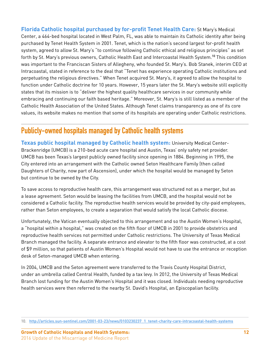**Florida Catholic hospital purchased by for-profit Tenet Health Care:** St Mary's Medical Center, a 464-bed hospital located in West Palm, FL, was able to maintain its Catholic identity after being purchased by Tenet Health System in 2001. Tenet, which is the nation's second largest for-profit health system, agreed to allow St. Mary's "to continue following Catholic ethical and religious principles" as set forth by St. Mary's previous owners, Catholic Health East and Intercoastal Health System.<sup>10</sup> This condition was important to the Franciscan Sisters of Allegheny, who founded St. Mary's. Bob Stanek, interim CEO at Intracoastal, stated in reference to the deal that "Tenet has experience operating Catholic institutions and perpetuating the religious directives." When Tenet acquired St. Mary's, it agreed to allow the hospital to function under Catholic doctrine for 10 years. However, 15 years later the St. Mary's website still explicitly states that its mission is to "deliver the highest quality healthcare services in our community while embracing and continuing our faith based heritage." Moreover, St. Mary's is still listed as a member of the Catholic Health Association of the United States. Although Tenet claims transparency as one of its core values, its website makes no mention that some of its hospitals are operating under Catholic restrictions.

## **Publicly-owned hospitals managed by Catholic health systems**

**Texas public hospital managed by Catholic health system:** University Medical Center-Brackenridge (UMCB) is a 210-bed acute care hospital and Austin, Texas' only safety net provider. UMCB has been Texas's largest publicly owned facility since opening in 1884. Beginning in 1995, the City entered into an arrangement with the Catholic owned Seton Healthcare Family (then called Daughters of Charity, now part of Ascension), under which the hospital would be managed by Seton but continue to be owned by the City.

To save access to reproductive health care, this arrangement was structured not as a merger, but as a lease agreement. Seton would be leasing the facilities from UMCB, and the hospital would not be considered a Catholic facility. The reproductive health services would be provided by city-paid employees, rather than Seton employees, to create a separation that would satisfy the local Catholic diocese.

Unfortunately, the Vatican eventually objected to this arrangement and so the Austin Women's Hospital, a "hospital within a hospital," was created on the fifth floor of UMCB in 2001 to provide obstetrics and reproductive health services not permitted under Catholic restrictions. The University of Texas Medical Branch managed the facility. A separate entrance and elevator to the fifth floor was constructed, at a cost of \$9 million, so that patients of Austin Women's Hospital would not have to use the entrance or reception desk of Seton-managed UMCB when entering.

In 2004, UMCB and the Seton agreement were transferred to the Travis County Hospital District, under an umbrella called Central Health, funded by a tax levy. In 2012, the University of Texas Medical Branch lost funding for the Austin Women's Hospital and it was closed. Individuals needing reproductive health services were then referred to the nearby St. David's Hospital, an Episcopalian facility.

<sup>10.</sup>  [http://articles.sun-sentinel.com/2001-03-23/news/0103230237\\_1\\_tenet-charity-care-intracoastal-health-systems](http://articles.sun-sentinel.com/2001-03-23/news/0103230237_1_tenet-charity-care-intracoastal-health-systems)